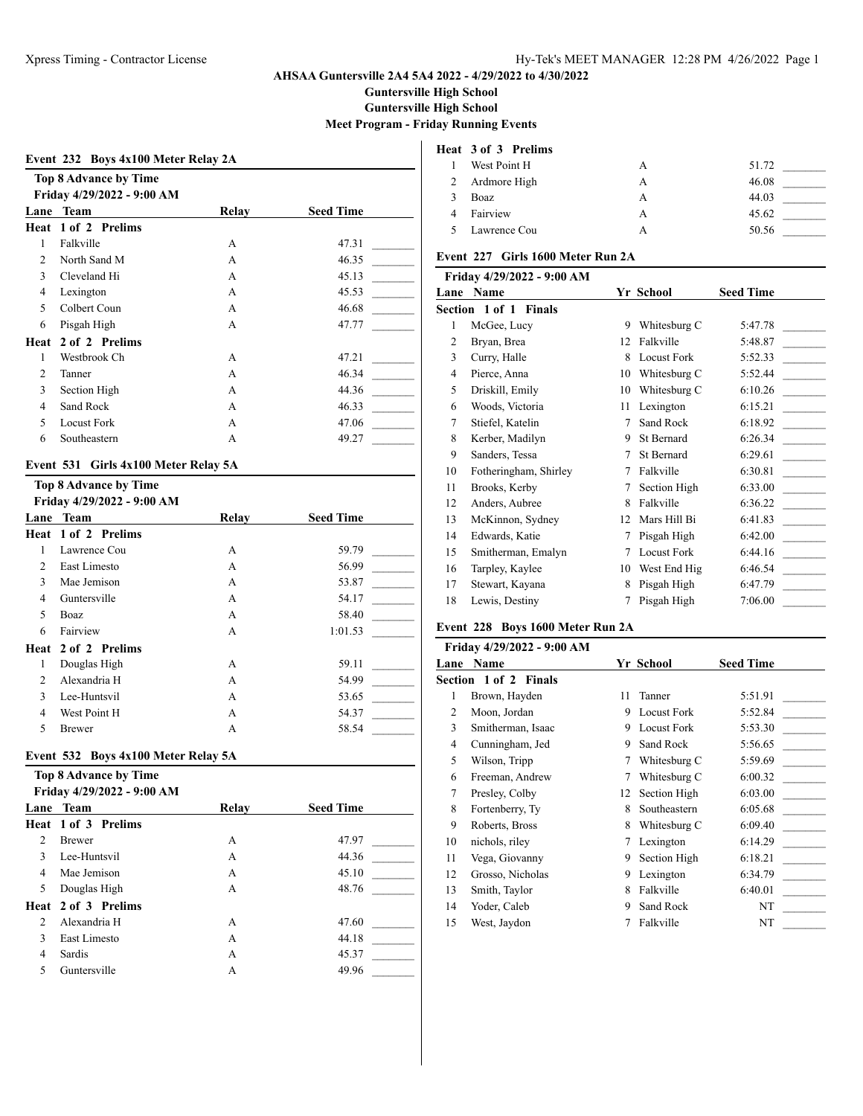**Guntersville High School**

**Guntersville High School**

**Meet Program - Friday Running Events**

|  |  | Event 232 Boys 4x100 Meter Relay 2A |
|--|--|-------------------------------------|
|  |  |                                     |

| <b>Top 8 Advance by Time</b> |                            |                  |
|------------------------------|----------------------------|------------------|
|                              |                            |                  |
| <b>Team</b>                  | Relav                      | <b>Seed Time</b> |
| Heat 1 of 2 Prelims          |                            |                  |
| Falkville                    | A                          | 47.31            |
| North Sand M                 | A                          | 46.35            |
| Cleveland Hi                 | A                          | 45.13            |
| Lexington                    | A                          | 45.53            |
| Colbert Coun                 | A                          | 46.68            |
| Pisgah High                  | A                          | 47.77            |
| 2 of 2 Prelims<br>Heat       |                            |                  |
| Westbrook Ch                 | A                          | 47.21            |
| Tanner                       | A                          | 46.34            |
| Section High                 | A                          | 44.36            |
| Sand Rock                    | A                          | 46.33            |
| <b>Locust Fork</b>           | A                          | 47.06            |
| Southeastern                 | А                          | 49.27            |
|                              | Friday 4/29/2022 - 9:00 AM |                  |

## **Event 531 Girls 4x100 Meter Relay 5A**

#### **Top 8 Advance by Time Friday 4/29/2022 - 9:00 AM**

|                | 1110ay 4/47/4044 - 7.00 A.M |       |                  |
|----------------|-----------------------------|-------|------------------|
| Lane           | Team                        | Relav | <b>Seed Time</b> |
|                | Heat 1 of 2 Prelims         |       |                  |
| 1              | Lawrence Cou                | A     | 59.79            |
| 2              | East Limesto                | A     | 56.99            |
| 3              | Mae Jemison                 | A     | 53.87            |
| 4              | Guntersville                | A     | 54.17            |
| 5              | Boaz                        | A     | 58.40            |
| 6              | Fairview                    | A     | 1:01.53          |
|                | Heat 2 of 2 Prelims         |       |                  |
| 1              | Douglas High                | A     | 59.11            |
| $\mathfrak{D}$ | Alexandria H                | A     | 54.99            |
| 3              | Lee-Huntsvil                | A     | 53.65            |
| 4              | West Point H                | A     | 54.37            |
| 5              | Brewer                      | А     | 58.54            |
|                |                             |       |                  |

### **Event 532 Boys 4x100 Meter Relay 5A**

|                | Top 8 Advance by Time      |       |                  |
|----------------|----------------------------|-------|------------------|
|                | Friday 4/29/2022 - 9:00 AM |       |                  |
|                | Lane Team                  | Relay | <b>Seed Time</b> |
|                | Heat 1 of 3 Prelims        |       |                  |
| $\overline{c}$ | <b>Brewer</b>              | A     | 47.97            |
| $\mathbf{3}$   | Lee-Huntsvil               | A     | 44.36            |
| 4              | Mae Jemison                | А     | 45.10            |
| 5              | Douglas High               | А     | 48.76            |
|                | Heat 2 of 3 Prelims        |       |                  |
| $\mathfrak{D}$ | Alexandria H               | A     | 47.60            |
| $\mathbf{3}$   | East Limesto               | A     | 44.18            |
| 4              | Sardis                     | A     | 45.37            |
| 5              | Guntersville               | А     | 49.96            |

# **Heat 3 of 3 Prelims**

|   | West Point H |   | 51.72 |
|---|--------------|---|-------|
| 2 | Ardmore High | А | 46.08 |
|   | Boaz         | А | 44.03 |
|   | Fairview     | А | 45.62 |
|   | Lawrence Cou |   | 50.56 |

## **Event 227 Girls 1600 Meter Run 2A**

| Friday 4/29/2022 - 9:00 AM |                       |    |                    |                  |
|----------------------------|-----------------------|----|--------------------|------------------|
| Lane                       | <b>Name</b>           |    | Yr School          | <b>Seed Time</b> |
|                            | Section 1 of 1 Finals |    |                    |                  |
| 1                          | McGee, Lucy           | 9  | Whitesburg C       | 5:47.78          |
| 2                          | Bryan, Brea           | 12 | Falkville          | 5:48.87          |
| 3                          | Curry, Halle          | 8  | <b>Locust Fork</b> | 5:52.33          |
| 4                          | Pierce, Anna          | 10 | Whitesburg C       | 5:52.44          |
| 5                          | Driskill, Emily       | 10 | Whitesburg C       | 6:10.26          |
| 6                          | Woods, Victoria       | 11 | Lexington          | 6:15.21          |
| 7                          | Stiefel, Katelin      | 7  | Sand Rock          | 6:18.92          |
| 8                          | Kerber, Madilyn       | 9  | St Bernard         | 6:26.34          |
| 9                          | Sanders, Tessa        | 7  | St Bernard         | 6:29.61          |
| 10                         | Fotheringham, Shirley | 7  | Falkville          | 6:30.81          |
| 11                         | Brooks, Kerby         | 7  | Section High       | 6:33.00          |
| 12                         | Anders, Aubree        | 8  | Falkville          | 6:36.22          |
| 13                         | McKinnon, Sydney      | 12 | Mars Hill Bi       | 6:41.83          |
| 14                         | Edwards, Katie        | 7  | Pisgah High        | 6:42.00          |
| 15                         | Smitherman, Emalyn    | 7  | <b>Locust Fork</b> | 6:44.16          |
| 16                         | Tarpley, Kaylee       | 10 | West End Hig       | 6:46.54          |
| 17                         | Stewart, Kayana       | 8  | Pisgah High        | 6:47.79          |
| 18                         | Lewis, Destiny        | 7  | Pisgah High        | 7:06.00          |
|                            |                       |    |                    |                  |

# **Event 228 Boys 1600 Meter Run 2A**

|    | Friday 4/29/2022 - 9:00 AM   |    |                    |                  |
|----|------------------------------|----|--------------------|------------------|
|    | <b>Lane Name</b>             |    | Yr School          | <b>Seed Time</b> |
|    | <b>Section 1 of 2 Finals</b> |    |                    |                  |
| 1  | Brown, Hayden                | 11 | Tanner             | 5:51.91          |
| 2  | Moon, Jordan                 | 9  | <b>Locust Fork</b> | 5:52.84          |
| 3  | Smitherman, Isaac            | 9  | <b>Locust Fork</b> | 5:53.30          |
| 4  | Cunningham, Jed              | 9  | Sand Rock          | 5:56.65          |
| 5  | Wilson, Tripp                | 7  | Whitesburg C       | 5:59.69          |
| 6  | Freeman, Andrew              | 7  | Whitesburg C       | 6:00.32          |
| 7  | Presley, Colby               | 12 | Section High       | 6:03.00          |
| 8  | Fortenberry, Ty              | 8  | Southeastern       | 6:05.68          |
| 9  | Roberts, Bross               | 8  | Whitesburg C       | 6:09.40          |
| 10 | nichols, riley               | 7  | Lexington          | 6:14.29          |
| 11 | Vega, Giovanny               | 9  | Section High       | 6:18.21          |
| 12 | Grosso, Nicholas             | 9  | Lexington          | 6:34.79          |
| 13 | Smith, Taylor                | 8  | Falkville          | 6:40.01          |
| 14 | Yoder, Caleb                 | 9  | Sand Rock          | NT               |
| 15 | West, Jaydon                 |    | Falkville          | NT               |
|    |                              |    |                    |                  |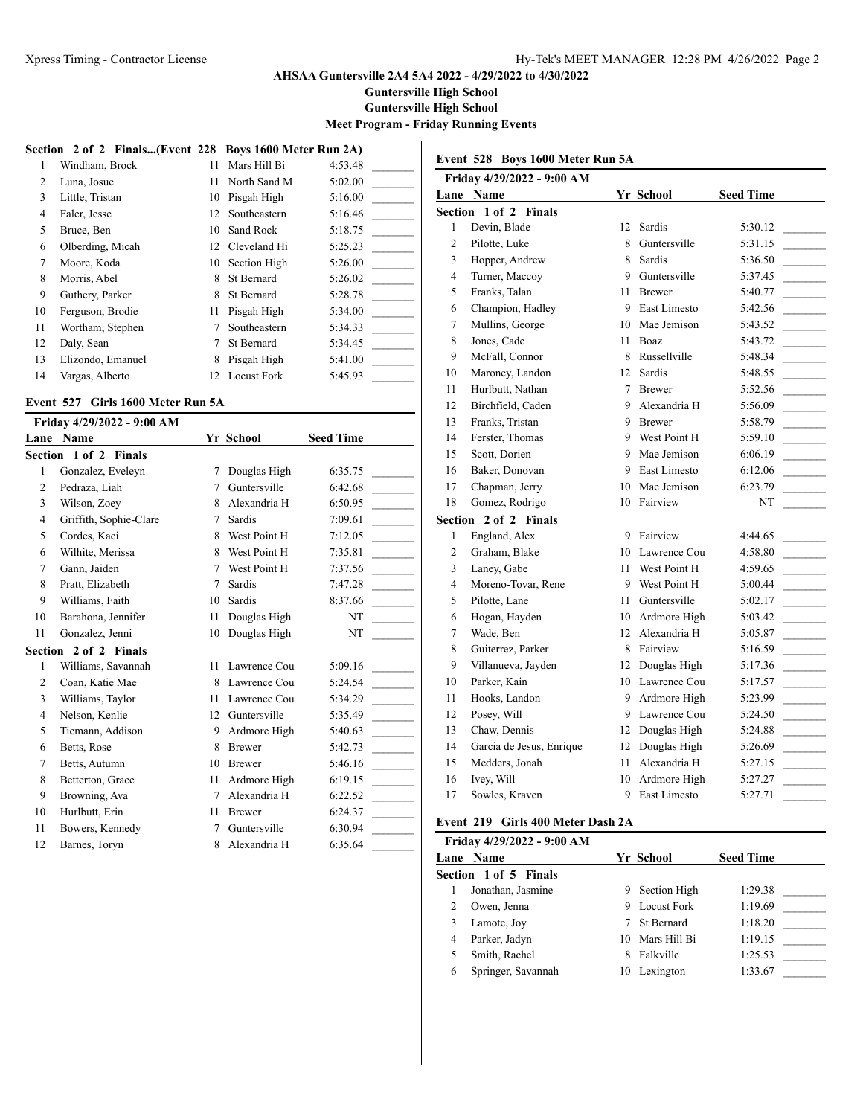**Guntersville High School**

**Guntersville High School**

**Meet Program - Friday Running Events**

**Event 528 Boys 1600 Meter Run 5A**

|                | Section 2 of 2 Finals(Event 228 Boys 1600 Meter Run 2A) |     |                 |         |
|----------------|---------------------------------------------------------|-----|-----------------|---------|
| 1              | Windham, Brock                                          | 11  | Mars Hill Bi    | 4:53.48 |
| $\mathfrak{D}$ | Luna, Josue                                             | 11. | North Sand M    | 5:02.00 |
| 3              | Little, Tristan                                         | 10  | Pisgah High     | 5:16.00 |
| 4              | Faler, Jesse                                            |     | 12 Southeastern | 5:16.46 |
| 5              | Bruce, Ben                                              | 10  | Sand Rock       | 5:18.75 |
| 6              | Olberding, Micah                                        | 12  | Cleveland Hi    | 5:25.23 |
| 7              | Moore, Koda                                             |     | 10 Section High | 5:26.00 |
| 8              | Morris, Abel                                            | 8   | St Bernard      | 5:26.02 |
| 9              | Guthery, Parker                                         | 8   | St Bernard      | 5:28.78 |
| 10             | Ferguson, Brodie                                        | 11  | Pisgah High     | 5:34.00 |
| 11             | Wortham, Stephen                                        |     | Southeastern    | 5:34.33 |
| 12             | Daly, Sean                                              | 7   | St Bernard      | 5:34.45 |
| 13             | Elizondo, Emanuel                                       | 8   | Pisgah High     | 5:41.00 |
| 14             | Vargas, Alberto                                         |     | 12 Locust Fork  | 5:45.93 |

# **Event 527 Girls 1600 Meter Run 5A**

|                | Friday 4/29/2022 - 9:00 AM   |    |               |                  |
|----------------|------------------------------|----|---------------|------------------|
|                | <b>Lane Name</b>             |    | Yr School     | <b>Seed Time</b> |
|                | Section 1 of 2 Finals        |    |               |                  |
| 1              | Gonzalez, Eveleyn            | 7  | Douglas High  | 6:35.75          |
| $\overline{c}$ | Pedraza, Liah                | 7  | Guntersville  | 6:42.68          |
| 3              | Wilson, Zoey                 | 8  | Alexandria H  | 6:50.95          |
| 4              | Griffith, Sophie-Clare       | 7  | Sardis        | 7:09.61          |
| 5              | Cordes, Kaci                 | 8  | West Point H  | 7:12.05          |
| 6              | Wilhite, Merissa             | 8  | West Point H  | 7:35.81          |
| 7              | Gann, Jaiden                 | 7  | West Point H  | 7:37.56          |
| 8              | Pratt, Elizabeth             | 7  | Sardis        | 7:47.28          |
| 9              | Williams, Faith              | 10 | Sardis        | 8:37.66          |
| 10             | Barahona, Jennifer           | 11 | Douglas High  | NT               |
| 11             | Gonzalez, Jenni              | 10 | Douglas High  | NT               |
|                | <b>Section 2 of 2 Finals</b> |    |               |                  |
| 1              | Williams, Savannah           | 11 | Lawrence Cou  | 5:09.16          |
| $\overline{c}$ | Coan, Katie Mae              | 8  | Lawrence Cou  | 5:24.54          |
| 3              | Williams, Taylor             | 11 | Lawrence Cou  | 5:34.29          |
| 4              | Nelson, Kenlie               | 12 | Guntersville  | 5:35.49          |
| 5              | Tiemann, Addison             | 9  | Ardmore High  | 5:40.63          |
| 6              | Betts, Rose                  | 8  | <b>Brewer</b> | 5:42.73          |
| 7              | Betts, Autumn                | 10 | <b>Brewer</b> | 5:46.16          |
| 8              | Betterton, Grace             | 11 | Ardmore High  | 6:19.15          |
| 9              | Browning, Ava                | 7  | Alexandria H  | 6:22.52          |
| 10             | Hurlbutt, Erin               | 11 | <b>Brewer</b> | 6:24.37          |
| 11             | Bowers, Kennedy              | 7  | Guntersville  | 6:30.94          |
| 12             | Barnes, Toryn                | 8  | Alexandria H  | 6:35.64          |

|                | Friday 4/29/2022 - 9:00 AM |              |                |                  |  |
|----------------|----------------------------|--------------|----------------|------------------|--|
| Lane           | Name                       |              | Yr School      | <b>Seed Time</b> |  |
| Section        | 1 of 2 Finals              |              |                |                  |  |
| 1              | Devin, Blade               | 12           | Sardis         | 5:30.12          |  |
| $\overline{c}$ | Pilotte, Luke              | 8            | Guntersville   | 5:31.15          |  |
| 3              | Hopper, Andrew             | 8            | <b>Sardis</b>  | 5:36.50          |  |
| 4              | Turner, Maccoy             | 9            | Guntersville   | 5:37.45          |  |
| 5              | Franks, Talan              | 11           | <b>Brewer</b>  | 5:40.77          |  |
| 6              | Champion, Hadley           | 9            | East Limesto   | 5:42.56          |  |
| 7              | Mullins, George            | 10           | Mae Jemison    | 5:43.52          |  |
| 8              | Jones, Cade                | 11           | Boaz           | 5:43.72          |  |
| 9              | McFall, Connor             | 8            | Russellville   | 5:48.34          |  |
| 10             | Maroney, Landon            | 12           | Sardis         | 5:48.55          |  |
| 11             | Hurlbutt, Nathan           | $\tau$       | <b>Brewer</b>  | 5:52.56          |  |
| 12             | Birchfield, Caden          | 9            | Alexandria H   | 5:56.09          |  |
| 13             | Franks, Tristan            | 9            | <b>Brewer</b>  | 5:58.79          |  |
| 14             | Ferster, Thomas            |              | 9 West Point H | 5:59.10          |  |
| 15             | Scott, Dorien              | 9            | Mae Jemison    | 6:06.19          |  |
| 16             | Baker, Donovan             | 9            | East Limesto   | 6:12.06          |  |
| 17             | Chapman, Jerry             |              | 10 Mae Jemison | 6:23.79          |  |
| 18             | Gomez, Rodrigo             |              | 10 Fairview    | NT               |  |
|                | Section 2 of 2 Finals      |              |                |                  |  |
| $\mathbf{1}$   | England, Alex              | 9            | Fairview       | 4:44.65          |  |
| $\overline{c}$ | Graham, Blake              | 10           | Lawrence Cou   | 4:58.80          |  |
| 3              | Laney, Gabe                | 11           | West Point H   | 4:59.65          |  |
| 4              | Moreno-Tovar, Rene         | 9            | West Point H   | 5:00.44          |  |
| 5              | Pilotte, Lane              | 11           | Guntersville   | 5:02.17          |  |
| 6              | Hogan, Hayden              | 10           | Ardmore High   | 5:03.42          |  |
| 7              | Wade, Ben                  | $12^{\circ}$ | Alexandria H   | 5:05.87          |  |
| 8              | Guiterrez, Parker          | 8            | Fairview       | 5:16.59          |  |
| 9              | Villanueva, Jayden         | 12           | Douglas High   | 5:17.36          |  |
| 10             | Parker, Kain               | 10           | Lawrence Cou   | 5:17.57          |  |
| 11             | Hooks, Landon              | 9            | Ardmore High   | 5:23.99          |  |
| 12             | Posey, Will                | 9            | Lawrence Cou   | 5:24.50          |  |
| 13             | Chaw, Dennis               | 12           | Douglas High   | 5:24.88          |  |
| 14             | Garcia de Jesus, Enrique   | 12           | Douglas High   | 5:26.69          |  |
| 15             | Medders, Jonah             | 11           | Alexandria H   | 5:27.15          |  |
| 16             | Ivev, Will                 | 10           | Ardmore High   | 5:27.27          |  |
| 17             | Sowles, Kraven             | 9            | East Limesto   | 5:27.71          |  |
|                |                            |              |                |                  |  |

# **Event 219 Girls 400 Meter Dash 2A**

|   | Friday 4/29/2022 - 9:00 AM |    |                   |                  |
|---|----------------------------|----|-------------------|------------------|
|   | Lane Name                  |    | Yr School         | <b>Seed Time</b> |
|   | Section 1 of 5 Finals      |    |                   |                  |
|   | Jonathan, Jasmine          | 9. | Section High      | 1:29.38          |
|   | Owen, Jenna                | 9  | Locust Fork       | 1:19.69          |
| 3 | Lamote, Joy                |    | <b>St Bernard</b> | 1:18.20          |
| 4 | Parker, Jadyn              |    | 10 Mars Hill Bi   | 1:19.15          |
|   | Smith, Rachel              | 8  | Falkville         | 1:25.53          |
| 6 | Springer, Savannah         | 10 | Lexington         | 1:33.67          |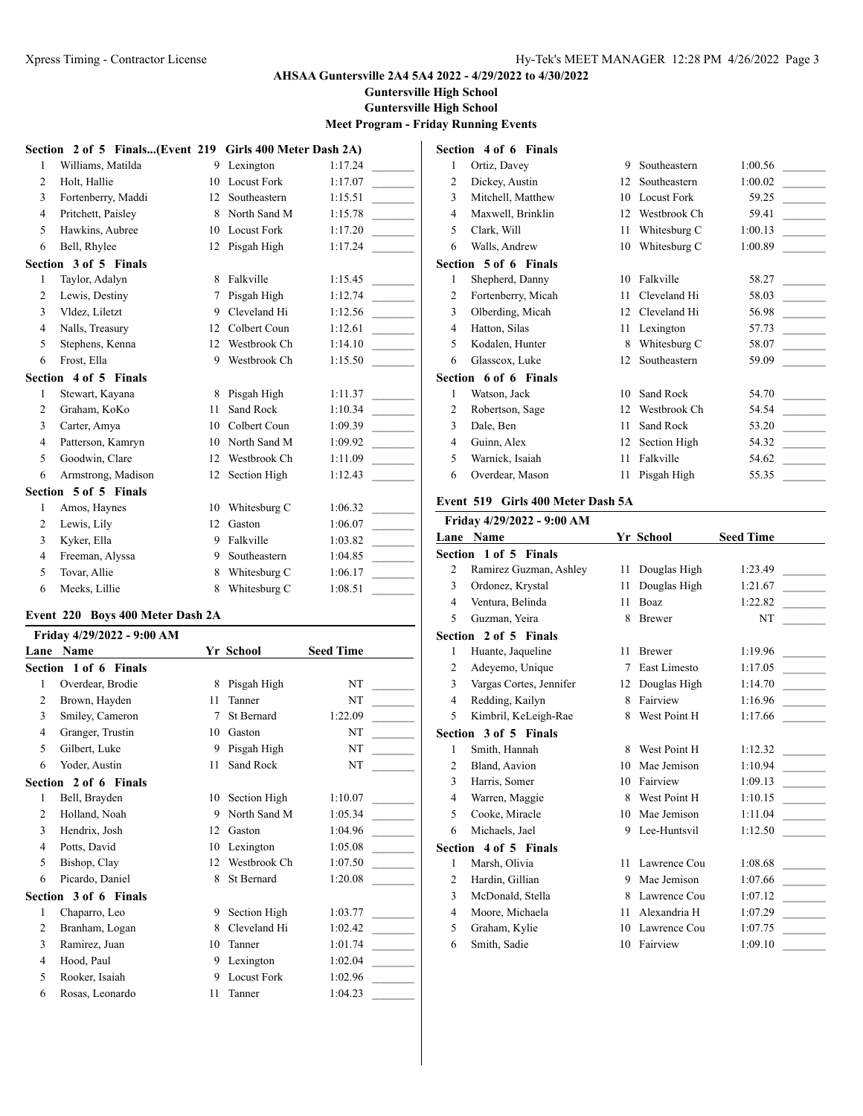**Guntersville High School**

**Guntersville High School**

### **Meet Program - Friday Running Events**

|                | Section 2 of 5 Finals(Event 219 Girls 400 Meter Dash 2A) |    |                    |         |
|----------------|----------------------------------------------------------|----|--------------------|---------|
| 1              | Williams, Matilda                                        | 9  | Lexington          | 1:17.24 |
| $\overline{c}$ | Holt, Hallie                                             | 10 | <b>Locust Fork</b> | 1:17.07 |
| 3              | Fortenberry, Maddi                                       | 12 | Southeastern       | 1:15.51 |
| $\overline{4}$ | Pritchett, Paisley                                       | 8  | North Sand M       | 1:15.78 |
| 5              | Hawkins, Aubree                                          | 10 | Locust Fork        | 1:17.20 |
| 6              | Bell, Rhylee                                             | 12 | Pisgah High        | 1:17.24 |
|                | Section 3 of 5 Finals                                    |    |                    |         |
| 1              | Taylor, Adalyn                                           | 8  | Falkville          | 1:15.45 |
| 2              | Lewis, Destiny                                           | 7  | Pisgah High        | 1:12.74 |
| 3              | Vldez, Liletzt                                           | 9  | Cleveland Hi       | 1:12.56 |
| $\overline{4}$ | Nalls, Treasury                                          | 12 | Colbert Coun       | 1:12.61 |
| 5              | Stephens, Kenna                                          | 12 | Westbrook Ch       | 1:14.10 |
| 6              | Frost, Ella                                              | 9  | Westbrook Ch       | 1:15.50 |
|                | Section 4 of 5 Finals                                    |    |                    |         |
| 1              | Stewart, Kayana                                          | 8  | Pisgah High        | 1:11.37 |
| $\overline{2}$ | Graham, KoKo                                             | 11 | Sand Rock          | 1:10.34 |
| 3              | Carter, Amya                                             | 10 | Colbert Coun       | 1:09.39 |
| $\overline{4}$ | Patterson, Kamryn                                        | 10 | North Sand M       | 1:09.92 |
| 5              | Goodwin, Clare                                           | 12 | Westbrook Ch       | 1:11.09 |
| 6              | Armstrong, Madison                                       | 12 | Section High       | 1:12.43 |
|                | Section 5 of 5 Finals                                    |    |                    |         |
| 1              | Amos, Haynes                                             | 10 | Whitesburg C       | 1:06.32 |
| 2              | Lewis, Lily                                              | 12 | Gaston             | 1:06.07 |
| 3              | Kyker, Ella                                              | 9  | Falkville          | 1:03.82 |
| $\overline{4}$ | Freeman, Alyssa                                          | 9  | Southeastern       | 1:04.85 |
| 5              | Tovar, Allie                                             | 8  | Whitesburg C       | 1:06.17 |
| 6              | Meeks, Lillie                                            | 8  | Whitesburg C       | 1:08.51 |

# **Event 220 Boys 400 Meter Dash 2A**

| Friday 4/29/2022 - 9:00 AM |                       |    |                    |                  |  |
|----------------------------|-----------------------|----|--------------------|------------------|--|
| Lane                       | <b>Name</b>           |    | Yr School          | <b>Seed Time</b> |  |
|                            | Section 1 of 6 Finals |    |                    |                  |  |
| 1                          | Overdear, Brodie      | 8  | Pisgah High        | NT               |  |
| $\overline{2}$             | Brown, Hayden         | 11 | Tanner             | NT               |  |
| 3                          | Smiley, Cameron       | 7  | St Bernard         | 1:22.09          |  |
| 4                          | Granger, Trustin      | 10 | Gaston             | NT               |  |
| 5                          | Gilbert, Luke         | 9  | Pisgah High        | NT               |  |
| 6                          | Yoder, Austin         | 11 | Sand Rock          | NT               |  |
|                            | Section 2 of 6 Finals |    |                    |                  |  |
| 1                          | Bell, Brayden         | 10 | Section High       | 1:10.07          |  |
| 2                          | Holland, Noah         | 9  | North Sand M       | 1:05.34          |  |
| 3                          | Hendrix, Josh         | 12 | Gaston             | 1:04.96          |  |
| 4                          | Potts, David          | 10 | Lexington          | 1:05.08          |  |
| 5                          | Bishop, Clay          | 12 | Westbrook Ch       | 1:07.50          |  |
| 6                          | Picardo, Daniel       | 8  | St Bernard         | 1:20.08          |  |
|                            | Section 3 of 6 Finals |    |                    |                  |  |
| 1                          | Chaparro, Leo         | 9  | Section High       | 1:03.77          |  |
| 2                          | Branham, Logan        | 8  | Cleveland Hi       | 1:02.42          |  |
| 3                          | Ramirez, Juan         | 10 | Tanner             | 1:01.74          |  |
| 4                          | Hood, Paul            | 9  | Lexington          | 1:02.04          |  |
| 5                          | Rooker, Isaiah        | 9  | <b>Locust Fork</b> | 1:02.96          |  |
| 6                          | Rosas, Leonardo       | 11 | Tanner             | 1:04.23          |  |

|                | Section 4 of 6 Finals |    |                    |         |  |  |  |  |
|----------------|-----------------------|----|--------------------|---------|--|--|--|--|
| 1              | Ortiz, Davey          | 9  | Southeastern       | 1:00.56 |  |  |  |  |
| $\overline{2}$ | Dickey, Austin        | 12 | Southeastern       | 1:00.02 |  |  |  |  |
| 3              | Mitchell, Matthew     | 10 | <b>Locust Fork</b> | 59.25   |  |  |  |  |
| $\overline{4}$ | Maxwell, Brinklin     | 12 | Westbrook Ch       | 59.41   |  |  |  |  |
| 5              | Clark, Will           | 11 | Whitesburg C       | 1:00.13 |  |  |  |  |
| 6              | Walls, Andrew         | 10 | Whitesburg C       | 1:00.89 |  |  |  |  |
|                | Section 5 of 6 Finals |    |                    |         |  |  |  |  |
| 1              | Shepherd, Danny       | 10 | Falkville          | 58.27   |  |  |  |  |
| 2              | Fortenberry, Micah    | 11 | Cleveland Hi       | 58.03   |  |  |  |  |
| 3              | Olberding, Micah      | 12 | Cleveland Hi       | 56.98   |  |  |  |  |
| $\overline{4}$ | Hatton, Silas         | 11 | Lexington          | 57.73   |  |  |  |  |
| 5              | Kodalen, Hunter       | 8  | Whitesburg C       | 58.07   |  |  |  |  |
| 6              | Glasscox, Luke        | 12 | Southeastern       | 59.09   |  |  |  |  |
|                | Section 6 of 6 Finals |    |                    |         |  |  |  |  |
| 1              | Watson, Jack          | 10 | Sand Rock          | 54.70   |  |  |  |  |
| 2              | Robertson, Sage       | 12 | Westbrook Ch       | 54.54   |  |  |  |  |
| 3              | Dale, Ben             | 11 | Sand Rock          | 53.20   |  |  |  |  |
| $\overline{4}$ | Guinn, Alex           | 12 | Section High       | 54.32   |  |  |  |  |
| 5              | Warnick, Isaiah       | 11 | Falkville          | 54.62   |  |  |  |  |
| 6              | Overdear, Mason       | 11 | Pisgah High        | 55.35   |  |  |  |  |

#### **Event 519 Girls 400 Meter Dash 5A**

|                | Friday 4/29/2022 - 9:00 AM |    |               |                  |
|----------------|----------------------------|----|---------------|------------------|
|                | Lane Name                  |    | Yr School     | <b>Seed Time</b> |
|                | Section 1 of 5 Finals      |    |               |                  |
| 2              | Ramirez Guzman, Ashley     | 11 | Douglas High  | 1:23.49          |
| 3              | Ordonez, Krystal           | 11 | Douglas High  | 1:21.67          |
| $\overline{4}$ | Ventura, Belinda           | 11 | Boaz          | 1:22.82          |
| 5              | Guzman, Yeira              | 8  | <b>Brewer</b> | NT               |
|                | Section 2 of 5 Finals      |    |               |                  |
| 1              | Huante, Jaqueline          | 11 | <b>Brewer</b> | 1:19.96          |
| 2              | Adeyemo, Unique            | 7  | East Limesto  | 1:17.05          |
| 3              | Vargas Cortes, Jennifer    | 12 | Douglas High  | 1:14.70          |
| $\overline{4}$ | Redding, Kailyn            | 8  | Fairview      | 1:16.96          |
| 5              | Kimbril, KeLeigh-Rae       | 8  | West Point H  | 1:17.66          |
|                | Section 3 of 5 Finals      |    |               |                  |
| 1              | Smith, Hannah              | 8  | West Point H  | 1:12.32          |
| $\overline{2}$ | Bland, Aavion              | 10 | Mae Jemison   | 1:10.94          |
| 3              | Harris, Somer              | 10 | Fairview      | 1:09.13          |
| 4              | Warren, Maggie             | 8  | West Point H  | 1:10.15          |
| 5              | Cooke, Miracle             | 10 | Mae Jemison   | 1:11.04          |
| 6              | Michaels, Jael             | 9  | Lee-Huntsvil  | 1:12.50          |
|                | Section 4 of 5 Finals      |    |               |                  |
| 1              | Marsh, Olivia              | 11 | Lawrence Cou  | 1:08.68          |
| $\overline{2}$ | Hardin, Gillian            | 9  | Mae Jemison   | 1:07.66          |
| 3              | McDonald, Stella           | 8  | Lawrence Cou  | 1:07.12          |
| $\overline{4}$ | Moore, Michaela            | 11 | Alexandria H  | 1:07.29          |
| 5              | Graham, Kylie              | 10 | Lawrence Cou  | 1:07.75          |
| 6              | Smith, Sadie               | 10 | Fairview      | 1:09.10          |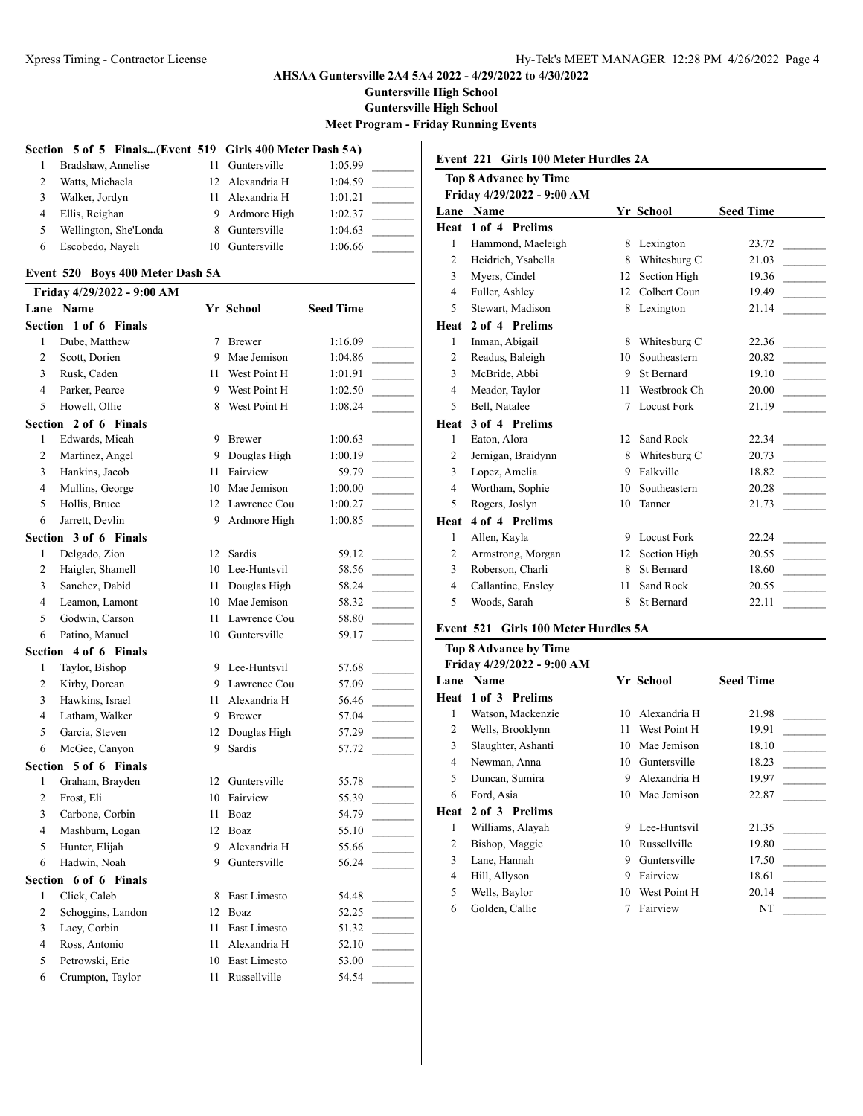**Guntersville High School**

**Guntersville High School**

**Meet Program - Friday Running Events**

#### **Section 5 of 5 Finals...(Event 519 Girls 400 Meter Dash 5A)**

| 1 | Bradshaw, Annelise    | 11 Guntersville | 1:05.99 |  |
|---|-----------------------|-----------------|---------|--|
| 2 | Watts, Michaela       | 12 Alexandria H | 1:04.59 |  |
| 3 | Walker, Jordyn        | 11 Alexandria H | 1:01.21 |  |
| 4 | Ellis, Reighan        | 9 Ardmore High  | 1:02.37 |  |
| 5 | Wellington, She'Londa | 8 Guntersville  | 1:04.63 |  |
| 6 | Escobedo, Naveli      | 10 Guntersville | 1:06.66 |  |

#### **Event 520 Boys 400 Meter Dash 5A**

|                | Friday 4/29/2022 - 9:00 AM |    |                 |                  |
|----------------|----------------------------|----|-----------------|------------------|
|                | <b>Lane Name</b>           |    | Yr School       | <b>Seed Time</b> |
| Section        | 1 of 6 Finals              |    |                 |                  |
| 1              | Dube, Matthew              | 7  | Brewer          | 1:16.09          |
| $\overline{c}$ | Scott, Dorien              |    | 9 Mae Jemison   | 1:04.86          |
| 3              | Rusk, Caden                | 11 | West Point H    | 1:01.91          |
| $\overline{4}$ | Parker, Pearce             |    | 9 West Point H  | 1:02.50          |
| 5              | Howell, Ollie              | 8  | West Point H    | 1:08.24          |
|                | Section 2 of 6 Finals      |    |                 |                  |
| $\mathbf{1}$   | Edwards, Micah             |    | 9 Brewer        | 1:00.63          |
| 2              | Martinez, Angel            |    | 9 Douglas High  | 1:00.19          |
| 3              | Hankins, Jacob             |    | 11 Fairview     | 59.79            |
| $\overline{4}$ | Mullins, George            |    | 10 Mae Jemison  | 1:00.00          |
| 5              | Hollis, Bruce              |    | 12 Lawrence Cou | 1:00.27          |
| 6              | Jarrett, Devlin            |    | 9 Ardmore High  | 1:00.85          |
|                | Section 3 of 6 Finals      |    |                 |                  |
| 1              | Delgado, Zion              |    | 12 Sardis       | 59.12            |
| 2              | Haigler, Shamell           |    | 10 Lee-Huntsvil | 58.56            |
| 3              | Sanchez, Dabid             | 11 | Douglas High    | 58.24            |
| $\overline{4}$ | Leamon, Lamont             |    | 10 Mae Jemison  | 58.32            |
| 5              | Godwin, Carson             |    | 11 Lawrence Cou | 58.80            |
| 6              | Patino, Manuel             |    | 10 Guntersville | 59.17            |
|                | Section 4 of 6 Finals      |    |                 |                  |
| 1              | Taylor, Bishop             |    | 9 Lee-Huntsvil  | 57.68            |
| 2              | Kirby, Dorean              |    | 9 Lawrence Cou  | 57.09            |
| 3              | Hawkins, Israel            |    | 11 Alexandria H | 56.46            |
| $\overline{4}$ | Latham, Walker             |    | 9 Brewer        | 57.04            |
| 5              | Garcia, Steven             |    | 12 Douglas High | 57.29            |
| 6              | McGee, Canyon              | 9  | Sardis          | 57.72            |
|                | Section 5 of 6 Finals      |    |                 |                  |
| 1              | Graham, Brayden            |    | 12 Guntersville | 55.78            |
| $\overline{c}$ | Frost, Eli                 |    | 10 Fairview     | 55.39            |
| 3              | Carbone, Corbin            |    | 11 Boaz         | 54.79            |
| $\overline{4}$ | Mashburn, Logan            |    | 12 Boaz         | 55.10            |
| 5              | Hunter, Elijah             |    | 9 Alexandria H  | 55.66            |
| 6              | Hadwin, Noah               |    | 9 Guntersville  | 56.24            |
|                | Section 6 of 6 Finals      |    |                 |                  |
| $\mathbf{1}$   | Click, Caleb               | 8  | East Limesto    | 54.48            |
| 2              | Schoggins, Landon          |    | 12 Boaz         | 52.25            |
| 3              | Lacy, Corbin               |    | 11 East Limesto | 51.32            |
| $\overline{4}$ | Ross, Antonio              |    | 11 Alexandria H | 52.10            |
| 5              | Petrowski, Eric            |    | 10 East Limesto | 53.00            |
| 6              | Crumpton, Taylor           | 11 | Russellville    | 54.54            |

**Event 221 Girls 100 Meter Hurdles 2A**

# **Top 8 Advance by Time Friday 4/29/2022 - 9:00 AM Lane Name Yr School Seed Time Heat 1 of 4 Prelims** 1 Hammond, Maeleigh 8 Lexington 23.72 2 Heidrich, Ysabella 8 Whitesburg C 21.03 3 Myers, Cindel 12 Section High 19.36 4 Fuller, Ashley 12 Colbert Coun 19.49 5 Stewart, Madison 8 Lexington 21.14 **Heat 2 of 4 Prelims** 1 Inman, Abigail 8 Whitesburg C 22.36 2 Readus, Baleigh 10 Southeastern 20.82 3 McBride, Abbi 9 St Bernard 19.10 4 Meador, Taylor 11 Westbrook Ch 20.00 5 Bell, Natalee 7 Locust Fork 21.19 **Heat 3 of 4 Prelims** 1 Eaton, Alora 12 Sand Rock 22.34 2 Jernigan, Braidynn 8 Whitesburg C 20.73 3 Lopez, Amelia 9 Falkville 18.82 4 Wortham, Sophie 10 Southeastern 20.28 5 Rogers, Joslyn 10 Tanner 21.73 **Heat 4 of 4 Prelims** 1 Allen, Kayla 9 Locust Fork 22.24 2 Armstrong, Morgan 12 Section High 20.55 3 Roberson, Charli 8 St Bernard 18.60 4 Callantine, Ensley 11 Sand Rock 20.55 5 Woods, Sarah 8 St Bernard 22.11

#### **Event 521 Girls 100 Meter Hurdles 5A**

#### **Top 8 Advance by Time**

| Friday 4/29/2022 - 9:00 AM |  |
|----------------------------|--|
|                            |  |

| Lane | <b>Name</b>        |    | Yr School    | <b>Seed Time</b> |
|------|--------------------|----|--------------|------------------|
| Heat | 1 of 3 Prelims     |    |              |                  |
| 1    | Watson, Mackenzie  | 10 | Alexandria H | 21.98            |
| 2    | Wells, Brooklynn   | 11 | West Point H | 19.91            |
| 3    | Slaughter, Ashanti | 10 | Mae Jemison  | 18.10            |
| 4    | Newman, Anna       | 10 | Guntersville | 18.23            |
| 5    | Duncan, Sumira     | 9  | Alexandria H | 19.97            |
| 6    | Ford, Asia         | 10 | Mae Jemison  | 22.87            |
| Heat | 2 of 3 Prelims     |    |              |                  |
| 1    | Williams, Alayah   | 9  | Lee-Huntsvil | 21.35            |
| 2    | Bishop, Maggie     | 10 | Russellville | 19.80            |
| 3    | Lane, Hannah       | 9  | Guntersville | 17.50            |
| 4    | Hill, Allyson      | 9  | Fairview     | 18.61            |
| 5    | Wells, Baylor      | 10 | West Point H | 20.14            |
| 6    | Golden, Callie     |    | Fairview     | NT               |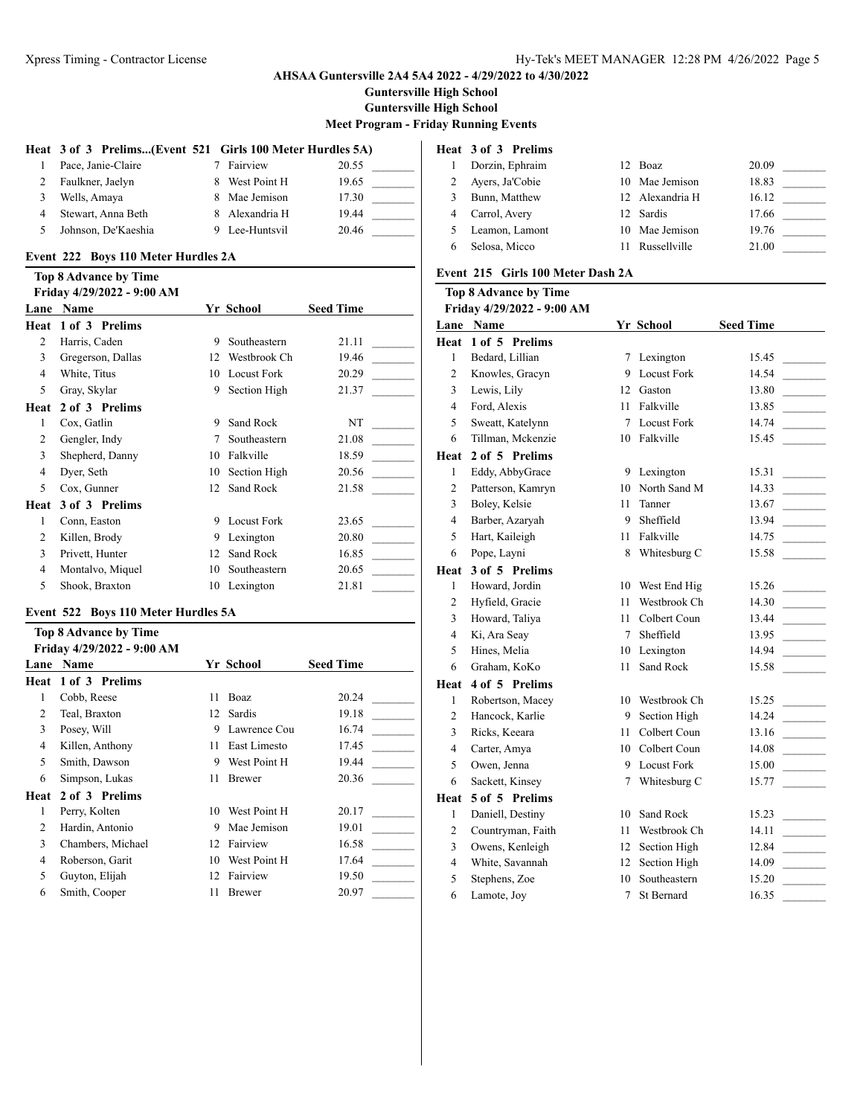**Guntersville High School**

**Guntersville High School**

**Meet Program - Friday Running Events**

#### **Heat 3 of 3 Prelims...(Event 521 Girls 100 Meter Hurdles 5A)**

| 1. | Pace, Janie-Claire  |    | 7 Fairview     | 20.55 |  |
|----|---------------------|----|----------------|-------|--|
|    | Faulkner, Jaelyn    | 8. | West Point H   | 19.65 |  |
| 3  | Wells, Amaya        |    | 8 Mae Jemison  | 17.30 |  |
| 4  | Stewart, Anna Beth  |    | 8 Alexandria H | 19.44 |  |
| 5. | Johnson, De'Kaeshia |    | 9 Lee-Huntsvil | 20.46 |  |

#### **Event 222 Boys 110 Meter Hurdles 2A**

# **Top 8 Advance by Time**

|      | Friday 4/29/2022 - 9:00 AM |                 |                    |                  |
|------|----------------------------|-----------------|--------------------|------------------|
| Lane | Name                       |                 | Yr School          | <b>Seed Time</b> |
| Heat | 1 of 3 Prelims             |                 |                    |                  |
| 2    | Harris, Caden              | 9               | Southeastern       | 21.11            |
| 3    | Gregerson, Dallas          | 12              | Westbrook Ch       | 19.46            |
| 4    | White, Titus               | 10              | <b>Locust Fork</b> | 20.29            |
| 5    | Gray, Skylar               | 9               | Section High       | 21.37            |
| Heat | 2 of 3 Prelims             |                 |                    |                  |
| 1    | Cox, Gatlin                | 9               | Sand Rock          | NT               |
| 2    | Gengler, Indy              | 7               | Southeastern       | 21.08            |
| 3    | Shepherd, Danny            | 10              | Falkville          | 18.59            |
| 4    | Dyer, Seth                 | 10              | Section High       | 20.56            |
| 5    | Cox, Gunner                | 12 <sub>1</sub> | Sand Rock          | 21.58            |
| Heat | 3 of 3 Prelims             |                 |                    |                  |
| 1    | Conn, Easton               | 9               | Locust Fork        | 23.65            |
| 2    | Killen, Brody              | 9               | Lexington          | 20.80            |
| 3    | Privett, Hunter            | 12              | Sand Rock          | 16.85            |
| 4    | Montalvo, Miquel           | 10              | Southeastern       | 20.65            |
| 5    | Shook, Braxton             | 10              | Lexington          | 21.81            |
|      |                            |                 |                    |                  |

#### **Event 522 Boys 110 Meter Hurdles 5A**

|      | <b>Top 8 Advance by Time</b> |    |               |                  |
|------|------------------------------|----|---------------|------------------|
|      | Friday 4/29/2022 - 9:00 AM   |    |               |                  |
| Lane | Name                         |    | Yr School     | <b>Seed Time</b> |
| Heat | 1 of 3 Prelims               |    |               |                  |
| 1    | Cobb, Reese                  | 11 | Boaz          | 20.24            |
| 2    | Teal, Braxton                | 12 | <b>Sardis</b> | 19.18            |
| 3    | Posey, Will                  | 9  | Lawrence Cou  | 16.74            |
| 4    | Killen, Anthony              | 11 | East Limesto  | 17.45            |
| 5    | Smith, Dawson                | 9  | West Point H  | 19.44            |
| 6    | Simpson, Lukas               | 11 | <b>Brewer</b> | 20.36            |
| Heat | 2 of 3 Prelims               |    |               |                  |
| 1    | Perry, Kolten                | 10 | West Point H  | 20.17            |
| 2    | Hardin, Antonio              | 9  | Mae Jemison   | 19.01            |
| 3    | Chambers, Michael            | 12 | Fairview      | 16.58            |
| 4    | Roberson, Garit              | 10 | West Point H  | 17.64            |
| 5    | Guyton, Elijah               | 12 | Fairview      | 19.50            |
| 6    | Smith, Cooper                | 11 | <b>Brewer</b> | 20.97            |
|      |                              |    |               |                  |

# **Heat 3 of 3 Prelims** 1 Dorzin, Ephraim 12 Boaz 20.09 2 Ayers, Ja'Cobie 10 Mae Jemison 18.83 3 Bunn, Matthew 12 Alexandria H 16.12 4 Carrol, Avery 12 Sardis 17.66 5 Leamon, Lamont 10 Mae Jemison 19.76 6 Selosa, Micco 11 Russellville 21.00

### **Event 215 Girls 100 Meter Dash 2A**

# **Top 8 Advance by Time**

#### **Friday 4/29/2022 - 9:00 AM**

| Lane           | Name              |        | Yr School          | <b>Seed Time</b> |
|----------------|-------------------|--------|--------------------|------------------|
| Heat           | 1 of 5 Prelims    |        |                    |                  |
| $\mathbf{1}$   | Bedard, Lillian   | 7      | Lexington          | 15.45            |
| 2              | Knowles, Gracyn   | 9      | <b>Locust Fork</b> | 14.54            |
| 3              | Lewis, Lily       | 12     | Gaston             | 13.80            |
| 4              | Ford, Alexis      | 11     | Falkville          | 13.85            |
| 5              | Sweatt, Katelynn  | 7      | <b>Locust Fork</b> | 14.74            |
| 6              | Tillman, Mckenzie | 10     | Falkville          | 15.45            |
| Heat           | 2 of 5 Prelims    |        |                    |                  |
| $\mathbf{1}$   | Eddy, AbbyGrace   |        | 9 Lexington        | 15.31            |
| 2              | Patterson, Kamryn | 10     | North Sand M       | 14.33            |
| 3              | Boley, Kelsie     | 11     | Tanner             | 13.67            |
| 4              | Barber, Azaryah   | 9      | Sheffield          | 13.94            |
| 5              | Hart, Kaileigh    | 11     | Falkville          | 14.75            |
| 6              | Pope, Layni       | 8      | Whitesburg C       | 15.58            |
| Heat           | 3 of 5 Prelims    |        |                    |                  |
| 1              | Howard, Jordin    | 10     | West End Hig       | 15.26            |
| $\overline{2}$ | Hyfield, Gracie   | 11     | Westbrook Ch       | 14.30            |
| 3              | Howard, Taliya    | 11     | Colbert Coun       | 13.44            |
| 4              | Ki, Ara Seay      | 7      | Sheffield          | 13.95            |
| 5              | Hines, Melia      | 10     | Lexington          | 14.94            |
| 6              | Graham, KoKo      | 11     | Sand Rock          | 15.58            |
| Heat           | 4 of 5 Prelims    |        |                    |                  |
| $\mathbf{1}$   | Robertson, Macey  | 10     | Westbrook Ch       | 15.25            |
| 2              | Hancock, Karlie   | 9      | Section High       | 14.24            |
| 3              | Ricks, Keeara     | 11     | Colbert Coun       | 13.16            |
| 4              | Carter, Amya      | 10     | Colbert Coun       | 14.08            |
| 5              | Owen, Jenna       | 9      | <b>Locust Fork</b> | 15.00            |
| 6              | Sackett, Kinsey   | $\tau$ | Whitesburg C       | 15.77            |
| Heat           | 5 of 5 Prelims    |        |                    |                  |
| $\mathbf{1}$   | Daniell, Destiny  | 10     | Sand Rock          | 15.23            |
| 2              | Countryman, Faith | 11     | Westbrook Ch       | 14.11            |
| 3              | Owens, Kenleigh   | 12     | Section High       | 12.84            |
| 4              | White, Savannah   | 12     | Section High       | 14.09            |
| 5              | Stephens, Zoe     | 10     | Southeastern       | 15.20            |
| 6              | Lamote, Joy       | 7      | St Bernard         | 16.35            |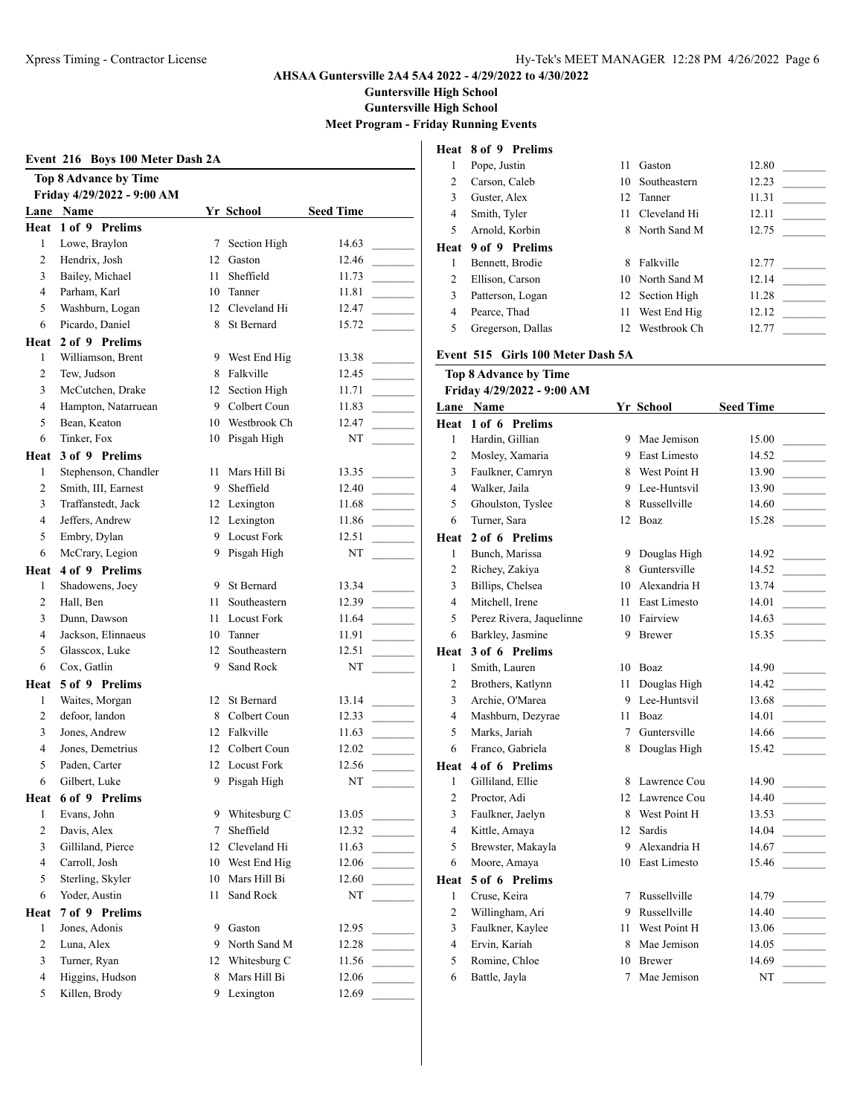Pope, Justin 11 Gaston 12.80 \_\_\_\_\_\_\_\_\_

**AHSAA Guntersville 2A4 5A4 2022 - 4/29/2022 to 4/30/2022**

**Guntersville High School**

**Guntersville High School**

**Meet Program - Friday Running Events**

|                | Event 216 Boys 100 Meter Dash 2A |    |                 |                  | 1                    | Heat 8 of 9 Prelims<br>Pope, Justin |
|----------------|----------------------------------|----|-----------------|------------------|----------------------|-------------------------------------|
|                | <b>Top 8 Advance by Time</b>     |    |                 |                  | 2                    | Carson, Caleb                       |
|                | Friday 4/29/2022 - 9:00 AM       |    |                 |                  | 3                    | Guster, Alex                        |
|                | Lane Name                        |    | Yr School       | <b>Seed Time</b> | 4                    | Smith, Tyler                        |
|                | Heat 1 of 9 Prelims              |    |                 |                  | 5                    | Arnold, Korbin                      |
| $\mathbf{1}$   | Lowe, Braylon                    | 7  | Section High    | 14.63            | Heat                 | 9 of 9 Prelims                      |
| 2              | Hendrix, Josh                    | 12 | Gaston          | 12.46            | 1                    | Bennett, Brodie                     |
| 3              | Bailey, Michael                  | 11 | Sheffield       | 11.73            | 2                    | Ellison, Carson                     |
| $\overline{4}$ | Parham, Karl                     | 10 | Tanner          | 11.81            | 3                    | Patterson, Logan                    |
| 5              | Washburn, Logan                  |    | 12 Cleveland Hi | 12.47            | $\overline{4}$       | Pearce, Thad                        |
| 6              | Picardo, Daniel                  | 8  | St Bernard      | 15.72            | 5                    | Gregerson, Dallas                   |
| Heat           | 2 of 9 Prelims                   |    |                 |                  |                      |                                     |
| $\mathbf{1}$   | Williamson, Brent                |    | 9 West End Hig  | 13.38            |                      | <b>Event 515 Girls 100</b>          |
| $\overline{c}$ | Tew, Judson                      | 8  | Falkville       | 12.45            |                      | Top 8 Advance by Ti                 |
| 3              | McCutchen, Drake                 | 12 | Section High    | 11.71            |                      | Friday 4/29/2022 - 9:               |
| $\overline{4}$ | Hampton, Natarruean              | 9  | Colbert Coun    | 11.83            |                      | Lane Name                           |
| 5              | Bean, Keaton                     | 10 | Westbrook Ch    | 12.47            |                      | Heat 1 of 6 Prelims                 |
| 6              | Tinker, Fox                      |    | 10 Pisgah High  | NT               | 1                    | Hardin, Gillian                     |
| Heat           | 3 of 9 Prelims                   |    |                 |                  | 2                    | Mosley, Xamaria                     |
| 1              | Stephenson, Chandler             | 11 | Mars Hill Bi    | 13.35            | 3                    | Faulkner, Camryn                    |
| 2              | Smith, III, Earnest              | 9  | Sheffield       | 12.40            | 4                    | Walker, Jaila                       |
| 3              | Traffanstedt, Jack               |    | 12 Lexington    | 11.68            | 5                    | Ghoulston, Tyslee                   |
| $\overline{4}$ | Jeffers, Andrew                  |    | 12 Lexington    | 11.86            | 6                    | Turner, Sara                        |
| 5              | Embry, Dylan                     | 9. | Locust Fork     | 12.51            | Heat                 | 2 of 6 Prelims                      |
| 6              | McCrary, Legion                  |    | 9 Pisgah High   | NT               | 1                    | Bunch, Marissa                      |
| Heat           | 4 of 9 Prelims                   |    |                 |                  | 2                    | Richey, Zakiya                      |
| 1              | Shadowens, Joey                  | 9  | St Bernard      | 13.34            | 3                    | Billips, Chelsea                    |
| 2              | Hall, Ben                        | 11 | Southeastern    | 12.39            | 4                    | Mitchell, Irene                     |
| 3              | Dunn, Dawson                     | 11 | Locust Fork     | 11.64            | 5                    | Perez Rivera, Jaqu                  |
| $\overline{4}$ | Jackson, Elinnaeus               | 10 | Tanner          | 11.91            | 6                    | Barkley, Jasmine                    |
| 5              | Glasscox, Luke                   | 12 | Southeastern    | 12.51            | Heat                 | 3 of 6 Prelims                      |
| 6              | Cox, Gatlin                      | 9  | Sand Rock       | NT               | 1                    | Smith, Lauren                       |
| Heat           | 5 of 9 Prelims                   |    |                 |                  | 2                    | Brothers, Katlynn                   |
| $\mathbf{1}$   | Waites, Morgan                   |    | 12 St Bernard   | 13.14            | 3                    | Archie, O'Marea                     |
| 2              | defoor, landon                   | 8  | Colbert Coun    | 12.33            | 4                    | Mashburn, Dezyra                    |
| 3              | Jones, Andrew                    |    | 12 Falkville    | 11.63            | 5                    | Marks, Jariah                       |
| 4              | Jones, Demetrius                 |    | 12 Colbert Coun | 12.02            | 6                    | Franco, Gabriela                    |
| 5              | Paden, Carter                    |    | 12 Locust Fork  | 12.56            | Heat                 | 4 of 6 Prelims                      |
| 6              | Gilbert, Luke                    |    | 9 Pisgah High   | NT               | 1                    | Gilliland, Ellie                    |
| Heat           | 6 of 9 Prelims                   |    |                 |                  | 2                    | Proctor, Adi                        |
| 1              | Evans, John                      | 9  | Whitesburg C    | 13.05            | 3                    | Faulkner, Jaelyn                    |
| $\sqrt{2}$     | Davis, Alex                      | 7  | Sheffield       | 12.32            | 4                    | Kittle, Amaya                       |
| 3              | Gilliland, Pierce                | 12 | Cleveland Hi    | 11.63            | 5                    | Brewster, Makayla                   |
| 4              | Carroll, Josh                    | 10 | West End Hig    | 12.06            | 6                    | Moore, Amaya                        |
| 5              | Sterling, Skyler                 | 10 | Mars Hill Bi    | 12.60            |                      | 5 of 6 Prelims                      |
| 6              | Yoder, Austin                    | 11 | Sand Rock       | NT               | Heat<br>$\mathbf{1}$ | Cruse, Keira                        |
|                | 7 of 9 Prelims                   |    |                 |                  | 2                    | Willingham, Ari                     |
| Heat<br>1      | Jones, Adonis                    | 9  | Gaston          | 12.95            | 3                    | Faulkner, Kaylee                    |
| $\overline{c}$ |                                  |    |                 |                  | $\overline{4}$       |                                     |
|                | Luna, Alex                       | 9  | North Sand M    | 12.28            |                      | Ervin, Kariah                       |
| 3              | Turner, Ryan                     | 12 | Whitesburg C    | 11.56            | 5                    | Romine, Chloe                       |
| 4              | Higgins, Hudson                  | 8  | Mars Hill Bi    | 12.06            | 6                    | Battle, Jayla                       |
| 5              | Killen, Brody                    |    | 9 Lexington     | 12.69            |                      |                                     |

# b 10 Southeastern 12.23 Guster, Alex 12 Tanner 11.31 \_\_\_\_\_\_\_\_\_ Smith, Tyler 11 Cleveland Hi 12.11 \_\_\_\_\_\_\_\_\_ in 8 North Sand M 12.75 **Heat 9 of 9 Prelims** 1 Bennett, Brodie 8 Falkville 12.77 2 Ellison 10 North Sand M 12.14 Patterson, 12 Section High 11.28  $\qquad$ 11 West End Hig 12.12  $\overline{\phantom{0}}$  Gregerson, Dallas 12 Westbrook Ch 12.77 \_\_\_\_\_\_\_\_\_ 100 Meter Dash 5A **by Time Friday 4/29/2022 - 9:00 AM**

| L <u>ane</u>   | Name                     |    | Yr School     | <b>Seed Time</b>                                                                                 |
|----------------|--------------------------|----|---------------|--------------------------------------------------------------------------------------------------|
| Heat           | 1 of 6 Prelims           |    |               |                                                                                                  |
| $\mathbf{1}$   | Hardin, Gillian          | 9  | Mae Jemison   | 15.00                                                                                            |
| $\overline{c}$ | Mosley, Xamaria          | 9  | East Limesto  | 14.52                                                                                            |
| 3              | Faulkner, Camryn         | 8  | West Point H  | 13.90                                                                                            |
| $\overline{4}$ | Walker, Jaila            | 9  | Lee-Huntsvil  | 13.90                                                                                            |
| 5              | Ghoulston, Tyslee        | 8  | Russellville  | 14.60                                                                                            |
| 6              | Turner, Sara             | 12 | Boaz          | 15.28                                                                                            |
| Heat           | 2 of 6 Prelims           |    |               |                                                                                                  |
| 1              | Bunch, Marissa           | 9  | Douglas High  | 14.92                                                                                            |
| $\overline{c}$ | Richey, Zakiya           | 8  | Guntersville  | 14.52<br>$\sim$ $\sim$                                                                           |
| 3              | Billips, Chelsea         | 10 | Alexandria H  | 13.74<br>$\mathcal{L}^{\text{max}}_{\text{max}}$ , where $\mathcal{L}^{\text{max}}_{\text{max}}$ |
| 4              | Mitchell, Irene          | 11 | East Limesto  | 14.01<br><b>Contract Contract</b>                                                                |
| 5              | Perez Rivera, Jaquelinne | 10 | Fairview      | 14.63                                                                                            |
| 6              | Barkley, Jasmine         | 9  | <b>Brewer</b> | 15.35                                                                                            |
| Heat           | 3 of 6 Prelims           |    |               |                                                                                                  |
| 1              | Smith, Lauren            | 10 | Boaz          | 14.90                                                                                            |
| $\overline{c}$ | Brothers, Katlynn        | 11 | Douglas High  | 14.42                                                                                            |
| 3              | Archie, O'Marea          | 9  | Lee-Huntsvil  | 13.68<br>$\sim$                                                                                  |
| $\overline{4}$ | Mashburn, Dezyrae        | 11 | Boaz          | 14.01                                                                                            |
| 5              | Marks, Jariah            | 7  | Guntersville  | 14.66                                                                                            |
| 6              | Franco, Gabriela         | 8  | Douglas High  | 15.42                                                                                            |
| Heat           | 4 of 6 Prelims           |    |               |                                                                                                  |
| 1              | Gilliland, Ellie         | 8  | Lawrence Cou  | 14.90                                                                                            |
| $\mathfrak{2}$ | Proctor, Adi             | 12 | Lawrence Cou  | 14.40                                                                                            |
| 3              | Faulkner, Jaelyn         | 8  | West Point H  | 13.53                                                                                            |
| $\overline{4}$ | Kittle, Amaya            | 12 | Sardis        | 14.04                                                                                            |
| 5              | Brewster, Makayla        | 9  | Alexandria H  | 14.67                                                                                            |
| 6              | Moore, Amaya             | 10 | East Limesto  | 15.46                                                                                            |
| Heat           | 5 of 6 Prelims           |    |               |                                                                                                  |
| $\mathbf{1}$   | Cruse, Keira             | 7  | Russellville  | 14.79                                                                                            |
| $\overline{c}$ | Willingham, Ari          | 9  | Russellville  | 14.40                                                                                            |
| 3              | Faulkner, Kaylee         | 11 | West Point H  | 13.06                                                                                            |
| $\overline{4}$ | Ervin, Kariah            | 8  | Mae Jemison   | 14.05                                                                                            |
| 5              | Romine, Chloe            | 10 | <b>Brewer</b> | 14.69                                                                                            |
| 6              | Battle, Jayla            | 7  | Mae Jemison   | NT                                                                                               |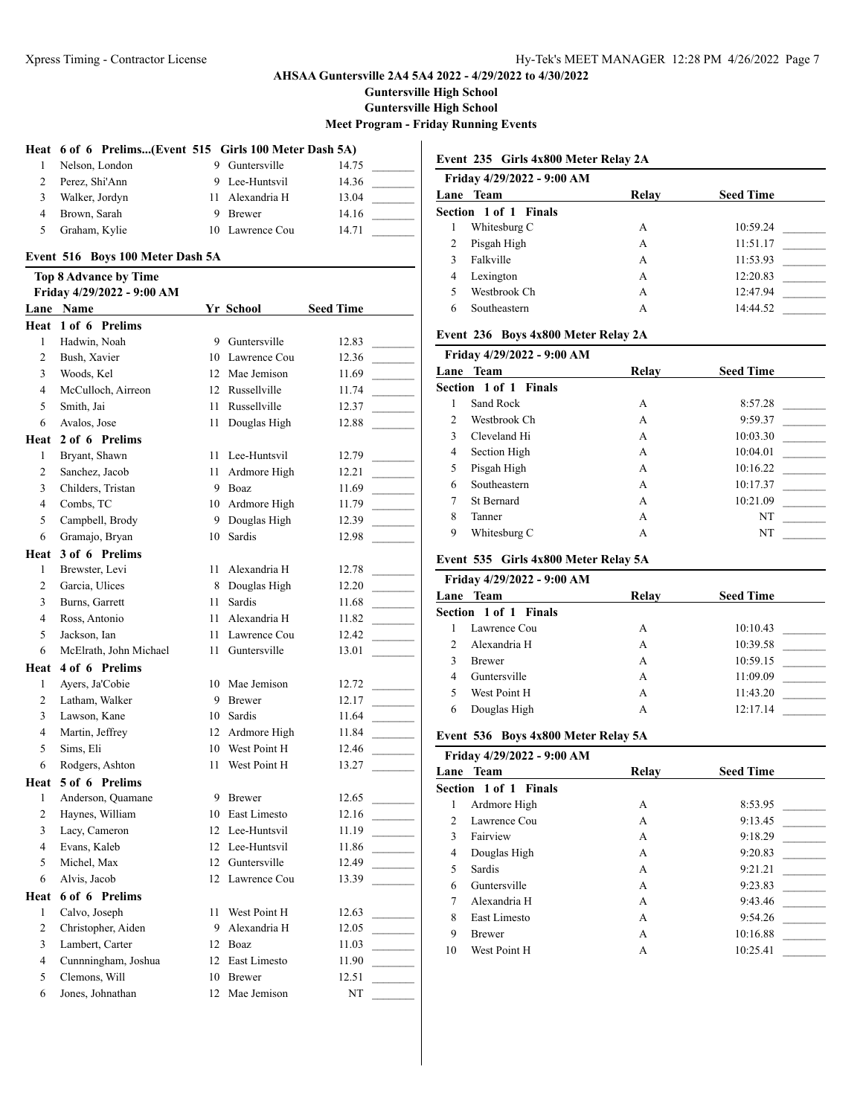**Guntersville High School**

**Guntersville High School**

**Meet Program - Friday Running Events**

 $\overline{\phantom{a}}$ 

# **Heat 6 of 6 Prelims...(Event 515 Girls 100 Meter Dash 5A)**

|   | Nelson, London | 9 Guntersville  | 14.75 |  |
|---|----------------|-----------------|-------|--|
|   | Perez, Shi'Ann | 9 Lee-Huntsvil  | 14.36 |  |
| 3 | Walker, Jordyn | 11 Alexandria H | 13.04 |  |
| 4 | Brown, Sarah   | Brewer          | 14.16 |  |
| 5 | Graham, Kylie  | 10 Lawrence Cou | 14.71 |  |

## **Event 516 Boys 100 Meter Dash 5A**

# **Top 8 Advance by Time**

| Friday 4/29/2022 - 9:00 AM |                        |    |                 |                  |  |
|----------------------------|------------------------|----|-----------------|------------------|--|
|                            | Lane Name              |    | Yr School       | <b>Seed Time</b> |  |
| Heat                       | 1 of 6 Prelims         |    |                 |                  |  |
| 1                          | Hadwin, Noah           | 9  | Guntersville    | 12.83            |  |
| $\overline{2}$             | Bush, Xavier           | 10 | Lawrence Cou    | 12.36            |  |
| $\overline{\mathbf{3}}$    | Woods, Kel             |    | 12 Mae Jemison  | 11.69            |  |
| $\overline{4}$             | McCulloch, Airreon     |    | 12 Russellville | 11.74            |  |
| 5                          | Smith, Jai             | 11 | Russellville    | 12.37            |  |
| 6                          | Avalos, Jose           | 11 | Douglas High    | 12.88            |  |
| Heat                       | 2 of 6 Prelims         |    |                 |                  |  |
| $\mathbf{1}$               | Bryant, Shawn          | 11 | Lee-Huntsvil    | 12.79            |  |
| 2                          | Sanchez, Jacob         | 11 | Ardmore High    | 12.21            |  |
| $\overline{3}$             | Childers, Tristan      | 9  | Boaz            | 11.69            |  |
| $\overline{4}$             | Combs, TC              |    | 10 Ardmore High | 11.79            |  |
| 5                          | Campbell, Brody        | 9  | Douglas High    | 12.39            |  |
| 6                          | Gramajo, Bryan         | 10 | Sardis          | 12.98            |  |
| Heat                       | 3 of 6 Prelims         |    |                 |                  |  |
| $\mathbf{1}$               | Brewster, Levi         | 11 | Alexandria H    | 12.78            |  |
| 2                          | Garcia, Ulices         | 8  | Douglas High    | 12.20            |  |
| 3                          | Burns, Garrett         | 11 | Sardis          | 11.68            |  |
| $\overline{4}$             | Ross, Antonio          | 11 | Alexandria H    | 11.82            |  |
| 5                          | Jackson, Ian           | 11 | Lawrence Cou    | 12.42            |  |
| 6                          | McElrath, John Michael | 11 | Guntersville    | 13.01            |  |
| Heat                       | 4 of 6 Prelims         |    |                 |                  |  |
| $\mathbf{1}$               | Ayers, Ja'Cobie        | 10 | Mae Jemison     | 12.72            |  |
| $\overline{2}$             | Latham, Walker         | 9  | <b>Brewer</b>   | 12.17            |  |
| 3                          | Lawson, Kane           |    | 10 Sardis       | 11.64            |  |
| 4                          | Martin, Jeffrey        |    | 12 Ardmore High | 11.84            |  |
| 5                          | Sims, Eli              |    | 10 West Point H | 12.46            |  |
| 6                          | Rodgers, Ashton        | 11 | West Point H    | 13.27            |  |
| Heat                       | 5 of 6 Prelims         |    |                 |                  |  |
| 1                          | Anderson, Quamane      | 9  | <b>Brewer</b>   | 12.65            |  |
| $\overline{2}$             | Haynes, William        |    | 10 East Limesto | 12.16            |  |
| 3                          | Lacy, Cameron          |    | 12 Lee-Huntsvil | 11.19            |  |
| $\overline{4}$             | Evans, Kaleb           |    | 12 Lee-Huntsvil | 11.86            |  |
| 5                          | Michel, Max            |    | 12 Guntersville | 12.49            |  |
| 6                          | Alvis, Jacob           | 12 | Lawrence Cou    | 13.39            |  |
| Heat                       | 6 of 6 Prelims         |    |                 |                  |  |
| 1                          | Calvo, Joseph          | 11 | West Point H    | 12.63            |  |
| $\overline{2}$             | Christopher, Aiden     | 9  | Alexandria H    | 12.05            |  |
| 3                          | Lambert, Carter        |    | 12 Boaz         | 11.03            |  |
| $\overline{4}$             | Cunnningham, Joshua    | 12 | East Limesto    | 11.90            |  |
| 5                          | Clemons, Will          | 10 | <b>Brewer</b>   | 12.51            |  |
| 6                          | Jones, Johnathan       | 12 | Mae Jemison     | NT               |  |

### **Event 235 Girls 4x800 Meter Relay 2A**

| Friday 4/29/2022 - 9:00 AM |       |                  |
|----------------------------|-------|------------------|
| Lane Team                  | Relay | <b>Seed Time</b> |
| Section 1 of 1 Finals      |       |                  |
| Whitesburg C               | А     | 10:59.24         |
| Pisgah High                | A     | 11:51.17         |
| Falkville                  | A     | 11:53.93         |
| Lexington<br>4             | A     | 12:20.83         |
| Westbrook Ch               | A     | 12:47.94         |
| Southeastern               | А     | 14:44.52         |
|                            |       |                  |

## **Event 236 Boys 4x800 Meter Relay 2A**

|                | Friday 4/29/2022 - 9:00 AM |       |                  |
|----------------|----------------------------|-------|------------------|
|                | Lane Team                  | Relay | <b>Seed Time</b> |
|                | Section 1 of 1 Finals      |       |                  |
|                | Sand Rock                  | A     | 8:57.28          |
| $\mathfrak{D}$ | Westbrook Ch               | A     | 9:59.37          |
| $\mathbf{3}$   | Cleveland Hi               | A     | 10:03.30         |
| $\overline{4}$ | Section High               | А     | 10:04.01         |
| 5              | Pisgah High                | А     | 10:16.22         |
| 6              | Southeastern               | А     | 10:17.37         |
| 7              | <b>St Bernard</b>          | A     | 10:21.09         |
| 8              | Tanner                     | А     | NT               |
| 9              | Whitesburg C               | А     | NT               |

## **Event 535 Girls 4x800 Meter Relay 5A**

| Friday 4/29/2022 - 9:00 AM |       |                  |
|----------------------------|-------|------------------|
| Lane Team                  | Relav | <b>Seed Time</b> |
| Section 1 of 1 Finals      |       |                  |
| Lawrence Cou               | А     | 10:10.43         |
| Alexandria H               | А     | 10:39.58         |
| <b>Brewer</b>              | А     | 10:59.15         |
| Guntersville               | А     | 11:09.09         |
| West Point H               | А     | 11:43.20         |
| Douglas High               | А     | 12:17.14         |
|                            |       |                  |

#### **Event 536 Boys 4x800 Meter Relay 5A**

|               | Friday 4/29/2022 - 9:00 AM |       |                  |
|---------------|----------------------------|-------|------------------|
|               | Lane Team                  | Relay | <b>Seed Time</b> |
|               | Section 1 of 1 Finals      |       |                  |
| 1             | Ardmore High               | А     | 8:53.95          |
| $\mathcal{D}$ | Lawrence Cou               | А     | 9:13.45          |
| $\mathbf{3}$  | Fairview                   | А     | 9:18.29          |
| 4             | Douglas High               | А     | 9:20.83          |
| 5             | Sardis                     | А     | 9:21.21          |
| 6             | Guntersville               | А     | 9:23.83          |
| 7             | Alexandria H               | А     | 9:43.46          |
| 8             | East Limesto               | А     | 9:54.26          |
| 9             | <b>Brewer</b>              | А     | 10:16.88         |
| 10            | West Point H               | A     | 10:25.41         |
|               |                            |       |                  |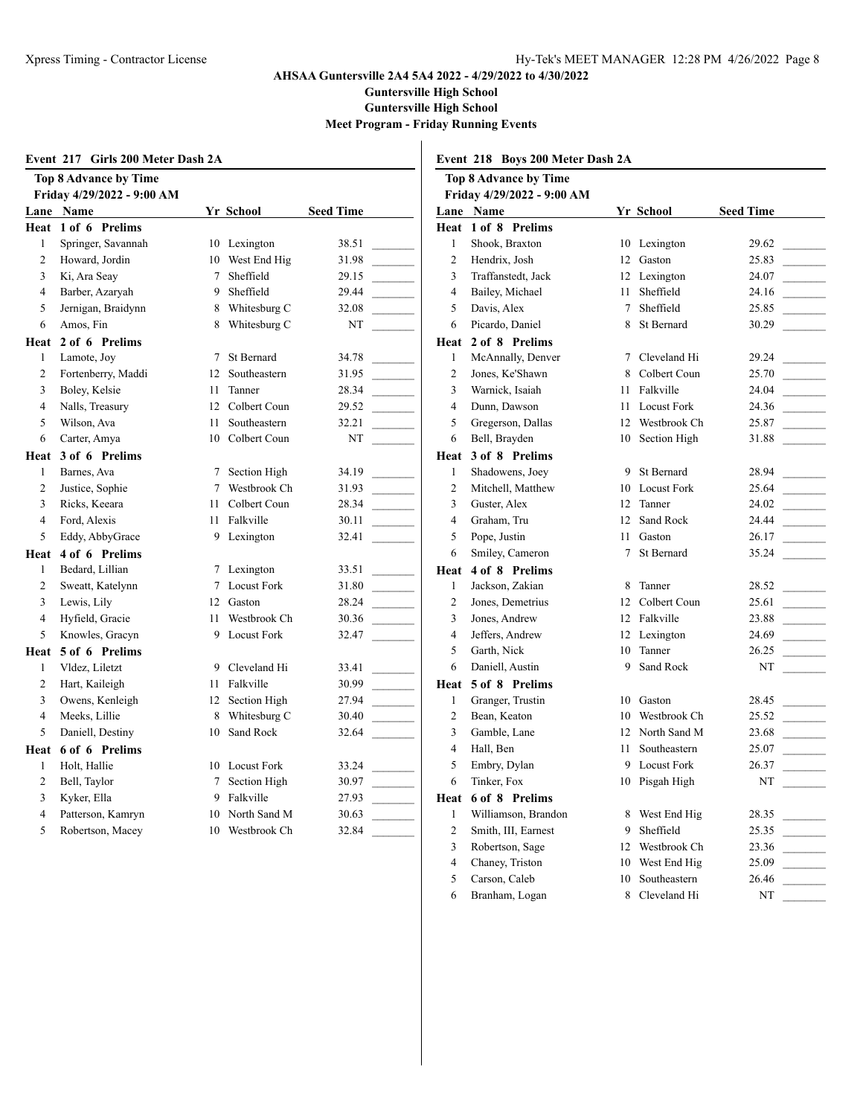**Guntersville High School**

**Guntersville High School**

 $\overline{\phantom{a}}$ 

**Meet Program - Friday Running Events**

|                | Event 217 Girls 200 Meter Dash 2A |        |                    |                  |                | Event 218 Boys 200 Meter Dash 2A |           |
|----------------|-----------------------------------|--------|--------------------|------------------|----------------|----------------------------------|-----------|
|                | <b>Top 8 Advance by Time</b>      |        |                    |                  |                | <b>Top 8 Advance by Time</b>     |           |
|                | Friday 4/29/2022 - 9:00 AM        |        |                    |                  |                | Friday 4/29/2022 - 9:00 AM       |           |
|                | Lane Name                         |        | Yr School          | <b>Seed Time</b> |                | Lane Name                        | Yr        |
|                | Heat 1 of 6 Prelims               |        |                    |                  |                | Heat 1 of 8 Prelims              |           |
| $\mathbf{1}$   | Springer, Savannah                |        | 10 Lexington       | 38.51            | $\mathbf{1}$   | Shook, Braxton                   | 10        |
| $\overline{2}$ | Howard, Jordin                    | 10     | West End Hig       | 31.98            | $\overline{2}$ | Hendrix, Josh                    | 12        |
| 3              | Ki, Ara Seay                      | $\tau$ | Sheffield          | 29.15            | 3              | Traffanstedt, Jack               | 12        |
| $\overline{4}$ | Barber, Azaryah                   | 9      | Sheffield          | 29.44            | $\overline{4}$ | Bailey, Michael                  | 11        |
| 5              | Jernigan, Braidynn                | 8      | Whitesburg C       | 32.08            | 5              | Davis, Alex                      | $\tau$    |
| 6              | Amos, Fin                         | 8      | Whitesburg C       | NT               | 6              | Picardo, Daniel                  | 8         |
| Heat           | 2 of 6 Prelims                    |        |                    |                  |                | Heat 2 of 8 Prelims              |           |
| 1              | Lamote, Joy                       | 7      | <b>St Bernard</b>  | 34.78            | $\mathbf{1}$   | McAnnally, Denver                | $\tau$    |
| $\overline{2}$ | Fortenberry, Maddi                |        | 12 Southeastern    | 31.95            | $\overline{c}$ | Jones, Ke'Shawn                  | 8         |
| 3              | Boley, Kelsie                     | 11     | Tanner             | 28.34            | 3              | Warnick, Isaiah                  | 11        |
| 4              | Nalls, Treasury                   | 12     | Colbert Coun       | 29.52            | $\overline{4}$ | Dunn, Dawson                     | 11        |
| 5              | Wilson, Ava                       | 11     | Southeastern       | 32.21            | 5              | Gregerson, Dallas                | 12        |
| 6              | Carter, Amya                      | 10     | Colbert Coun       | NT               | 6              | Bell, Brayden                    | 10        |
| Heat           | 3 of 6 Prelims                    |        |                    |                  | Heat           | 3 of 8 Prelims                   |           |
| $\mathbf{1}$   | Barnes, Ava                       |        | 7 Section High     | 34.19            | $\mathbf{1}$   | Shadowens, Joey                  | 9         |
| $\overline{2}$ | Justice, Sophie                   | 7      | Westbrook Ch       | 31.93            | $\overline{2}$ | Mitchell, Matthew                | 10        |
| 3              | Ricks, Keeara                     |        | 11 Colbert Coun    | 28.34            | 3              | Guster, Alex                     | 12        |
| $\overline{4}$ | Ford, Alexis                      | 11     | Falkville          | 30.11            | $\overline{4}$ | Graham, Tru                      | 12        |
| 5              | Eddy, AbbyGrace                   | 9      | Lexington          | 32.41            | 5              | Pope, Justin                     | 11        |
| Heat           | 4 of 6 Prelims                    |        |                    |                  | 6              | Smiley, Cameron                  | $\tau$    |
| 1              | Bedard, Lillian                   |        | 7 Lexington        | 33.51            | Heat           | 4 of 8 Prelims                   |           |
| $\overline{c}$ | Sweatt, Katelynn                  | 7      | <b>Locust Fork</b> | 31.80            | $\mathbf{1}$   | Jackson, Zakian                  | $\,$ $\,$ |
| 3              | Lewis, Lily                       | 12     | Gaston             | 28.24            | $\overline{2}$ | Jones, Demetrius                 | 12        |
| 4              | Hyfield, Gracie                   | 11     | Westbrook Ch       | 30.36            | 3              | Jones, Andrew                    | 12        |
| 5              | Knowles, Gracyn                   | 9      | <b>Locust Fork</b> | 32.47            | $\overline{4}$ | Jeffers, Andrew                  | 12        |
| Heat           | 5 of 6 Prelims                    |        |                    |                  | 5              | Garth, Nick                      | 10        |
| $\mathbf{1}$   | Vldez, Liletzt                    | 9      | Cleveland Hi       | 33.41            | 6              | Daniell, Austin                  | 9         |
| $\overline{c}$ | Hart, Kaileigh                    |        | 11 Falkville       | 30.99            | Heat           | 5 of 8 Prelims                   |           |
| 3              | Owens, Kenleigh                   | 12     | Section High       | 27.94            | $\mathbf{1}$   | Granger, Trustin                 | 10        |
| 4              | Meeks, Lillie                     | 8      | Whitesburg C       | 30.40            | $\overline{2}$ | Bean, Keaton                     | 10        |
| 5              | Daniell, Destiny                  | 10     | Sand Rock          | 32.64            | 3              | Gamble, Lane                     | 12        |
|                | Heat 6 of 6 Prelims               |        |                    |                  | $\overline{4}$ | Hall, Ben                        | 11        |
| 1              | Holt, Hallie                      |        | 10 Locust Fork     | 33.24            | 5              | Embry, Dylan                     | 9         |
| $\overline{2}$ | Bell, Taylor                      | $\tau$ | Section High       | 30.97            | 6              | Tinker, Fox                      | 10        |
| 3              | Kyker, Ella                       | 9      | Falkville          | 27.93            | Heat           | 6 of 8 Prelims                   |           |
| $\overline{4}$ | Patterson, Kamryn                 | 10     | North Sand M       | 30.63            | $\mathbf{1}$   | Williamson, Brandon              | 8         |
| 5              | Robertson, Macey                  |        | 10 Westbrook Ch    | 32.84            | $\overline{2}$ | Smith, III, Earnest              | 9         |
|                |                                   |        |                    |                  |                |                                  |           |

**the By Time Friday 4/29/2022 - 9:00 AM Lane Name Yr School Seed Time Prelims** raxton 10 Lexington 29.62 Josh 12 Gaston 25.83  $3 - 24.07$   $12$  Lexington 24.07 Iichael 11 Sheffield 24.16 ex 25.85 Daniel 8 St Bernard 30.29 **Prelims**  $1$ ly, Denver  $7$  Cleveland Hi  $29.24$ 25.70 <sup>2</sup>Shawn 8 Colbert Coun 25.70 Isaiah 11 Falkville 24.04  $40$  Dunner 11 Locust Fork 24.36 n, Dallas 12 Westbrook Ch 25.87 yden 10 Section High 31.88 **Prelims** ns, Joey 9 St Bernard 28.94 Matthew 10 Locust Fork 25.64 12 Tanner 24.02 Tru 12 Sand Rock 24.44  $\begin{array}{ccc} \text{stim} & 11 & \text{Gaston} & 26.17 \end{array}$  $C$ ameron 7 St Bernard 35.24 **Prelims** 2 Jackson, Zakian 28.52 emetrius 12 Colbert Coun 25.61 adrew 12 Falkville 23.88 ndrew 12 Lexington 24.69 ck 10 Tanner 26.25 Austin 9 Sand Rock NT **Prelims** Trustin 10 Gaston 28.45 aton 10 Westbrook Ch 25.52  $\mu$  Lane 12 North Sand M 23.68 11 Southeastern 25.07 Solylan 9 Locust Fork 26.37 ox 10 Pisgah High NT **Prelims** on, Brandon 8 West End Hig 28.35  $1,$  Earnest 9 Sheffield 25.35 3 Robertson, Sage 12 Westbrook Ch 23.36 4 Chaney, Triston 10 West End Hig 25.09 5 Carson, Caleb 10 Southeastern 26.46 6 Branham, Logan 8 Cleveland Hi NT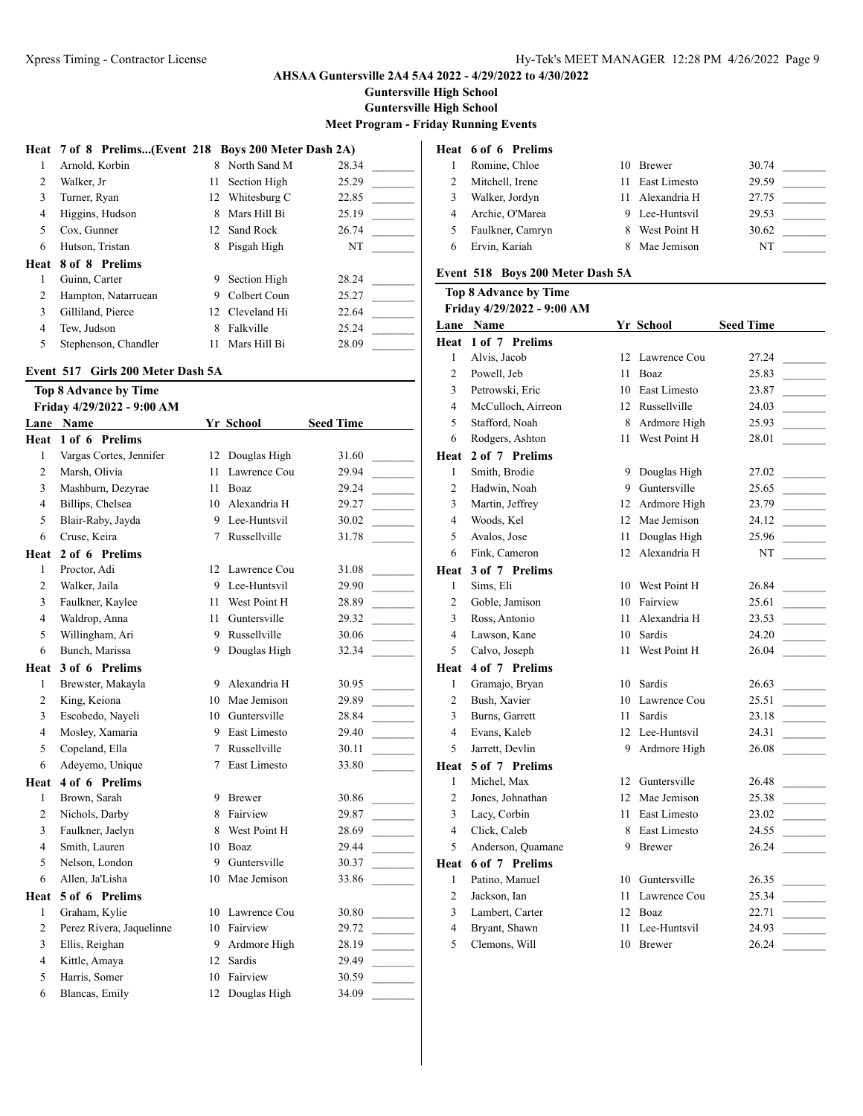**Guntersville High School**

**Guntersville High School**

**Meet Program - Friday Running Events**

|                | Heat 7 of 8 Prelims(Event 218 Boys 200 Meter Dash 2A) |    |                 |       |
|----------------|-------------------------------------------------------|----|-----------------|-------|
|                | Arnold, Korbin                                        | 8. | North Sand M    | 28.34 |
| $\mathfrak{D}$ | Walker, Jr                                            | 11 | Section High    | 25.29 |
| 3              | Turner, Ryan                                          |    | 12 Whitesburg C | 22.85 |
| 4              | Higgins, Hudson                                       | 8  | Mars Hill Bi    | 25.19 |
| 5              | Cox, Gunner                                           |    | 12 Sand Rock    | 26.74 |
| 6              | Hutson, Tristan                                       | 8  | Pisgah High     | NT    |
| Heat           | 8 of 8 Prelims                                        |    |                 |       |
|                | Guinn, Carter                                         | 9  | Section High    | 28.24 |
| 2              | Hampton, Natarruean                                   | 9  | Colbert Coun    | 25.27 |
| 3              | Gilliland, Pierce                                     |    | 12 Cleveland Hi | 22.64 |
| 4              | Tew, Judson                                           | 8  | Falkville       | 25.24 |
| 5              | Stephenson, Chandler                                  | 11 | Mars Hill Bi    | 28.09 |

# **Event 517 Girls 200 Meter Dash 5A**

|                | <b>Top 8 Advance by Time</b> |    |               |                  |
|----------------|------------------------------|----|---------------|------------------|
|                | Friday 4/29/2022 - 9:00 AM   |    |               |                  |
| Lane           | <b>Name</b>                  |    | Yr School     | <b>Seed Time</b> |
| Heat           | 1 of 6 Prelims               |    |               |                  |
| $\mathbf{1}$   | Vargas Cortes, Jennifer      | 12 | Douglas High  | 31.60            |
| $\overline{c}$ | Marsh, Olivia                | 11 | Lawrence Cou  | 29.94            |
| 3              | Mashburn, Dezyrae            | 11 | Boaz          | 29.24            |
| 4              | Billips, Chelsea             | 10 | Alexandria H  | 29.27            |
| 5              | Blair-Raby, Jayda            | 9  | Lee-Huntsvil  | 30.02            |
| 6              | Cruse, Keira                 | 7  | Russellville  | 31.78            |
| Heat           | 2 of 6 Prelims               |    |               |                  |
| $\mathbf{1}$   | Proctor, Adi                 | 12 | Lawrence Cou  | 31.08            |
| $\overline{2}$ | Walker, Jaila                | 9  | Lee-Huntsvil  | 29.90            |
| 3              | Faulkner, Kaylee             | 11 | West Point H  | 28.89            |
| 4              | Waldrop, Anna                | 11 | Guntersville  | 29.32            |
| 5              | Willingham, Ari              | 9  | Russellville  | 30.06            |
| 6              | Bunch, Marissa               | 9  | Douglas High  | 32.34            |
| Heat           | 3 of 6 Prelims               |    |               |                  |
| 1              | Brewster, Makayla            | 9  | Alexandria H  | 30.95            |
| $\overline{2}$ | King, Keiona                 | 10 | Mae Jemison   | 29.89            |
| 3              | Escobedo, Nayeli             | 10 | Guntersville  | 28.84            |
| $\overline{4}$ | Mosley, Xamaria              | 9  | East Limesto  | 29.40            |
| 5              | Copeland, Ella               | 7  | Russellville  | 30.11            |
| 6              | Adeyemo, Unique              | 7  | East Limesto  | 33.80            |
| Heat           | 4 of 6 Prelims               |    |               |                  |
| 1              | Brown, Sarah                 | 9  | <b>Brewer</b> | 30.86            |
| $\overline{c}$ | Nichols, Darby               | 8  | Fairview      | 29.87            |
| 3              | Faulkner, Jaelyn             | 8  | West Point H  | 28.69            |
| 4              | Smith, Lauren                | 10 | Boaz          | 29.44            |
| 5              | Nelson, London               | 9  | Guntersville  | 30.37            |
| 6              | Allen, Ja'Lisha              | 10 | Mae Jemison   | 33.86            |
| Heat           | 5 of 6 Prelims               |    |               |                  |
| 1              | Graham, Kylie                | 10 | Lawrence Cou  | 30.80            |
| 2              | Perez Rivera, Jaquelinne     | 10 | Fairview      | 29.72            |
| 3              | Ellis, Reighan               | 9  | Ardmore High  | 28.19            |
| $\overline{4}$ | Kittle, Amaya                | 12 | Sardis        | 29.49            |
| 5              | Harris, Somer                | 10 | Fairview      | 30.59            |
| 6              | Blancas, Emily               | 12 | Douglas High  | 34.09            |
|                |                              |    |               |                  |

| Heat 6 of 6 Prelims |   |               |                                |  |
|---------------------|---|---------------|--------------------------------|--|
| Romine, Chloe       |   | <b>Brewer</b> | 30.74                          |  |
| Mitchell, Irene     |   | East Limesto  | 29.59                          |  |
| Walker, Jordyn      |   |               | 27.75                          |  |
| Archie, O'Marea     | 9 |               | 29.53                          |  |
| Faulkner, Camryn    |   | West Point H  | 30.62                          |  |
| Ervin, Kariah       |   | Mae Jemison   | NT                             |  |
|                     |   |               | - Alexandria H<br>Lee-Huntsvil |  |

# **Event 518 Boys 200 Meter Dash 5A**

# **Top 8 Advance by Time**

#### **Friday 4/29/2022 - 9:00 AM**

| Lane           | Name               |                  | Yr School       | <b>Seed Time</b> |  |
|----------------|--------------------|------------------|-----------------|------------------|--|
| Heat           | 1 of 7 Prelims     |                  |                 |                  |  |
| $\mathbf{1}$   | Alvis, Jacob       | 12               | Lawrence Cou    | 27.24            |  |
| 2              | Powell, Jeb        | 11               | Boaz            | 25.83            |  |
| 3              | Petrowski, Eric    | 10               | East Limesto    | 23.87            |  |
| 4              | McCulloch, Airreon | 12               | Russellville    | 24.03            |  |
| 5              | Stafford, Noah     | 8                | Ardmore High    | 25.93            |  |
| 6              | Rodgers, Ashton    | 11               | West Point H    | 28.01            |  |
| Heat           | 2 of 7 Prelims     |                  |                 |                  |  |
| $\mathbf{1}$   | Smith, Brodie      | 9                | Douglas High    | 27.02            |  |
| $\overline{c}$ | Hadwin, Noah       | 9                | Guntersville    | 25.65            |  |
| 3              | Martin, Jeffrey    | 12               | Ardmore High    | 23.79            |  |
| $\overline{4}$ | Woods, Kel         | 12 <sup>12</sup> | Mae Jemison     | 24.12            |  |
| 5              | Avalos, Jose       | 11               | Douglas High    | 25.96            |  |
| 6              | Fink, Cameron      | 12               | Alexandria H    | NT               |  |
| Heat           | 3 of 7 Prelims     |                  |                 |                  |  |
| 1              | Sims, Eli          | 10               | West Point H    | 26.84            |  |
| 2              | Goble, Jamison     | 10               | Fairview        | 25.61            |  |
| 3              | Ross, Antonio      | 11               | Alexandria H    | 23.53            |  |
| $\overline{4}$ | Lawson, Kane       | 10               | Sardis          | 24.20            |  |
| 5              | Calvo, Joseph      | 11               | West Point H    | 26.04            |  |
| Heat           | 4 of 7 Prelims     |                  |                 |                  |  |
| 1              | Gramajo, Bryan     | 10               | Sardis          | 26.63            |  |
| $\overline{c}$ | Bush, Xavier       | 10               | Lawrence Cou    | 25.51            |  |
| 3              | Burns, Garrett     | 11               | <b>Sardis</b>   | 23.18            |  |
| $\overline{4}$ | Evans, Kaleb       |                  | 12 Lee-Huntsvil | 24.31            |  |
| 5              | Jarrett, Devlin    | 9                | Ardmore High    | 26.08            |  |
| Heat           | 5 of 7 Prelims     |                  |                 |                  |  |
| $\mathbf{1}$   | Michel, Max        |                  | 12 Guntersville | 26.48            |  |
| 2              | Jones, Johnathan   | 12               | Mae Jemison     | 25.38            |  |
| 3              | Lacy, Corbin       | 11               | East Limesto    | 23.02            |  |
| 4              | Click, Caleb       | 8                | East Limesto    | 24.55            |  |
| 5              | Anderson, Quamane  | 9                | <b>Brewer</b>   | 26.24            |  |
| Heat           | 6 of 7 Prelims     |                  |                 |                  |  |
| 1              | Patino, Manuel     | 10               | Guntersville    | 26.35            |  |
| $\overline{c}$ | Jackson, Ian       | 11               | Lawrence Cou    | 25.34            |  |
| 3              | Lambert, Carter    | 12               | Boaz            | 22.71            |  |
| $\overline{4}$ | Bryant, Shawn      | 11               | Lee-Huntsvil    | 24.93            |  |
| 5              | Clemons, Will      | 10               | <b>Brewer</b>   | 26.24            |  |